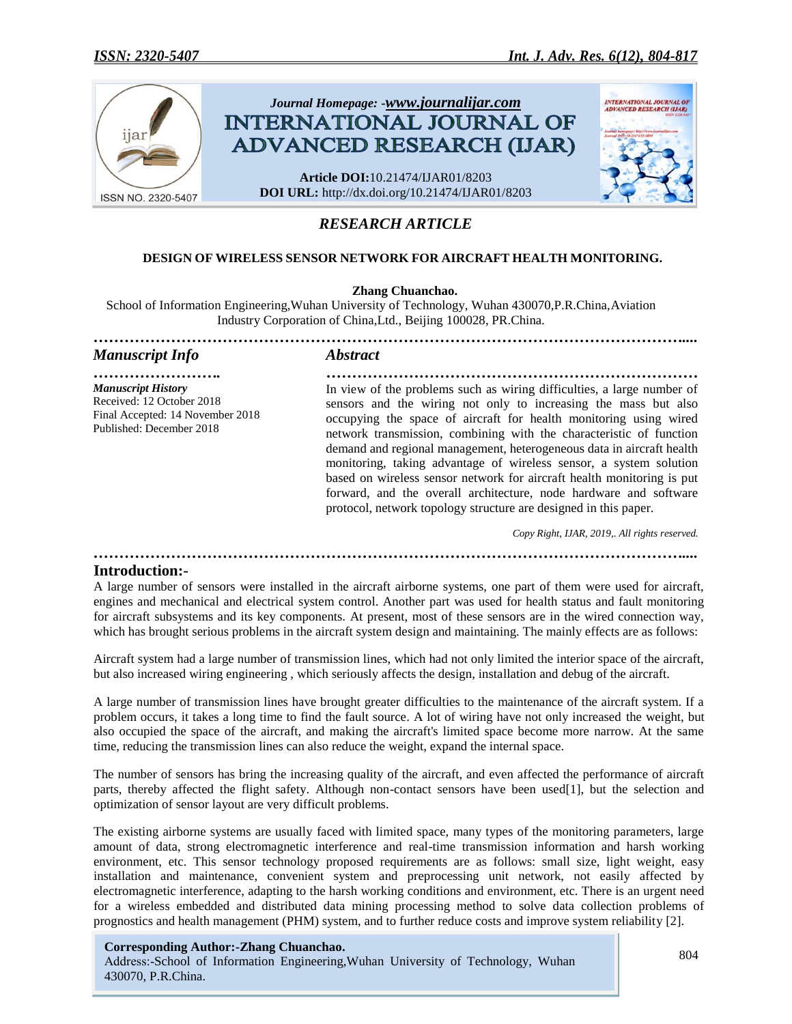

# *RESEARCH ARTICLE*

### **DESIGN OF WIRELESS SENSOR NETWORK FOR AIRCRAFT HEALTH MONITORING.**

#### **Zhang Chuanchao.**

School of Information Engineering,Wuhan University of Technology, Wuhan 430070,P.R.China,Aviation Industry Corporation of China,Ltd., Beijing 100028, PR.China.

| <b>Manuscript Info</b>                                                                                                 | <i><b>Abstract</b></i>                                                                                                                                                                                                                                                                                                                                                                                                                                                                                                                                                                                                                                  |
|------------------------------------------------------------------------------------------------------------------------|---------------------------------------------------------------------------------------------------------------------------------------------------------------------------------------------------------------------------------------------------------------------------------------------------------------------------------------------------------------------------------------------------------------------------------------------------------------------------------------------------------------------------------------------------------------------------------------------------------------------------------------------------------|
| <b>Manuscript History</b><br>Received: 12 October 2018<br>Final Accepted: 14 November 2018<br>Published: December 2018 | In view of the problems such as wiring difficulties, a large number of<br>sensors and the wiring not only to increasing the mass but also<br>occupying the space of aircraft for health monitoring using wired<br>network transmission, combining with the characteristic of function<br>demand and regional management, heterogeneous data in aircraft health<br>monitoring, taking advantage of wireless sensor, a system solution<br>based on wireless sensor network for aircraft health monitoring is put<br>forward, and the overall architecture, node hardware and software<br>protocol, network topology structure are designed in this paper. |

 *Copy Right, IJAR, 2019,. All rights reserved.*

*……………………………………………………………………………………………………....*

#### **Introduction:-**

.

A large number of sensors were installed in the aircraft airborne systems, one part of them were used for aircraft, engines and mechanical and electrical system control. Another part was used for health status and fault monitoring for aircraft subsystems and its key components. At present, most of these sensors are in the wired connection way, which has brought serious problems in the aircraft system design and maintaining. The mainly effects are as follows:

Aircraft system had a large number of transmission lines, which had not only limited the interior space of the aircraft, but also increased wiring engineering , which seriously affects the design, installation and debug of the aircraft.

A large number of transmission lines have brought greater difficulties to the maintenance of the aircraft system. If a problem occurs, it takes a long time to find the fault source. A lot of wiring have not only increased the weight, but also occupied the space of the aircraft, and making the aircraft's limited space become more narrow. At the same time, reducing the transmission lines can also reduce the weight, expand the internal space.

The number of sensors has bring the increasing quality of the aircraft, and even affected the performance of aircraft parts, thereby affected the flight safety. Although non-contact sensors have been used[1], but the selection and optimization of sensor layout are very difficult problems.

The existing airborne systems are usually faced with limited space, many types of the monitoring parameters, large amount of data, strong electromagnetic interference and real-time transmission information and harsh working environment, etc. This sensor technology proposed requirements are as follows: small size, light weight, easy installation and maintenance, convenient system and preprocessing unit network, not easily affected by electromagnetic interference, adapting to the harsh working conditions and environment, etc. There is an urgent need for a wireless embedded and distributed data mining processing method to solve data collection problems of prognostics and health management (PHM) system, and to further reduce costs and improve system reliability [2].

## **Corresponding Author:-Zhang Chuanchao.**

Address:-School of Information Engineering,Wuhan University of Technology, Wuhan 430070, P.R.China.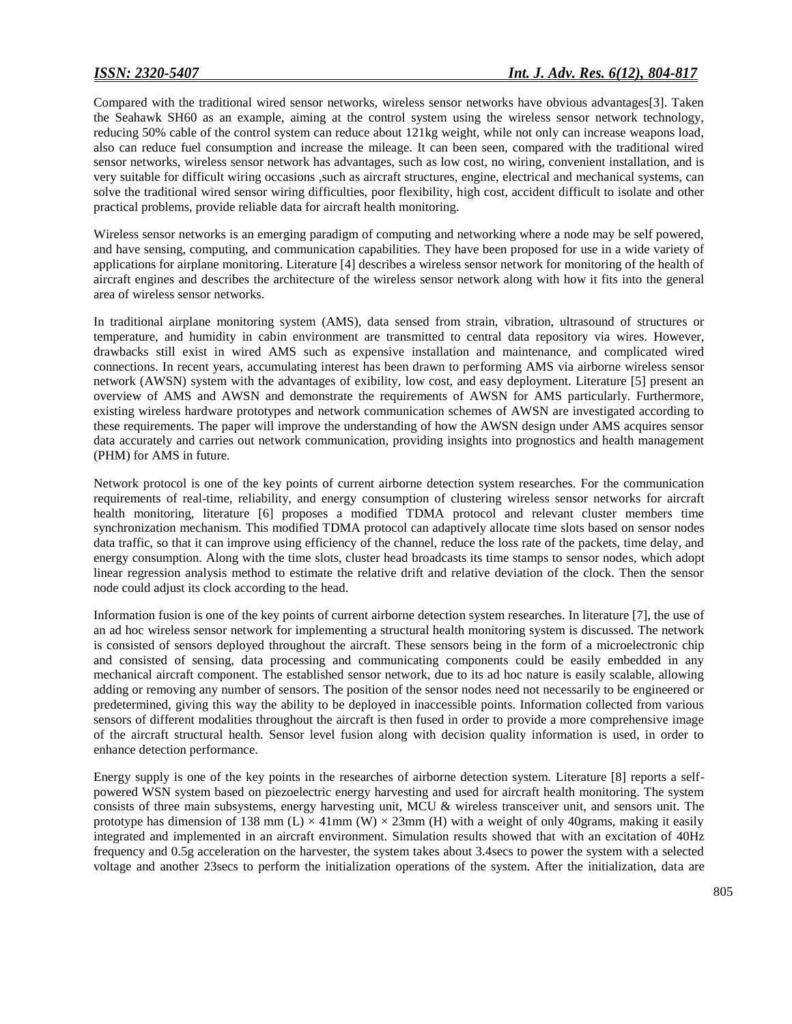Compared with the traditional wired sensor networks, wireless sensor networks have obvious advantages[3]. Taken the Seahawk SH60 as an example, aiming at the control system using the wireless sensor network technology, reducing 50% cable of the control system can reduce about 121kg weight, while not only can increase weapons load, also can reduce fuel consumption and increase the mileage. It can been seen, compared with the traditional wired sensor networks, wireless sensor network has advantages, such as low cost, no wiring, convenient installation, and is very suitable for difficult wiring occasions ,such as aircraft structures, engine, electrical and mechanical systems, can solve the traditional wired sensor wiring difficulties, poor flexibility, high cost, accident difficult to isolate and other practical problems, provide reliable data for aircraft health monitoring.

Wireless sensor networks is an emerging paradigm of computing and networking where a node may be self powered, and have sensing, computing, and communication capabilities. They have been proposed for use in a wide variety of applications for airplane monitoring. Literature [4] describes a wireless sensor network for monitoring of the health of aircraft engines and describes the architecture of the wireless sensor network along with how it fits into the general area of wireless sensor networks.

In traditional airplane monitoring system (AMS), data sensed from strain, vibration, ultrasound of structures or temperature, and humidity in cabin environment are transmitted to central data repository via wires. However, drawbacks still exist in wired AMS such as expensive installation and maintenance, and complicated wired connections. In recent years, accumulating interest has been drawn to performing AMS via airborne wireless sensor network (AWSN) system with the advantages of exibility, low cost, and easy deployment. Literature [5] present an overview of AMS and AWSN and demonstrate the requirements of AWSN for AMS particularly. Furthermore, existing wireless hardware prototypes and network communication schemes of AWSN are investigated according to these requirements. The paper will improve the understanding of how the AWSN design under AMS acquires sensor data accurately and carries out network communication, providing insights into prognostics and health management (PHM) for AMS in future.

Network protocol is one of the key points of current airborne detection system researches. For the communication requirements of real-time, reliability, and energy consumption of clustering wireless sensor networks for aircraft health monitoring, literature [6] proposes a modified TDMA protocol and relevant cluster members time synchronization mechanism. This modified TDMA protocol can adaptively allocate time slots based on sensor nodes data traffic, so that it can improve using efficiency of the channel, reduce the loss rate of the packets, time delay, and energy consumption. Along with the time slots, cluster head broadcasts its time stamps to sensor nodes, which adopt linear regression analysis method to estimate the relative drift and relative deviation of the clock. Then the sensor node could adjust its clock according to the head.

Information fusion is one of the key points of current airborne detection system researches. In literature [7], the use of an ad hoc wireless sensor network for implementing a structural health monitoring system is discussed. The network is consisted of sensors deployed throughout the aircraft. These sensors being in the form of a microelectronic chip and consisted of sensing, data processing and communicating components could be easily embedded in any mechanical aircraft component. The established sensor network, due to its ad hoc nature is easily scalable, allowing adding or removing any number of sensors. The position of the sensor nodes need not necessarily to be engineered or predetermined, giving this way the ability to be deployed in inaccessible points. Information collected from various sensors of different modalities throughout the aircraft is then fused in order to provide a more comprehensive image of the aircraft structural health. Sensor level fusion along with decision quality information is used, in order to enhance detection performance.

Energy supply is one of the key points in the researches of airborne detection system. Literature [8] reports a selfpowered WSN system based on piezoelectric energy harvesting and used for aircraft health monitoring. The system consists of three main subsystems, energy harvesting unit, MCU & wireless transceiver unit, and sensors unit. The prototype has dimension of 138 mm (L)  $\times$  41mm (W)  $\times$  23mm (H) with a weight of only 40grams, making it easily integrated and implemented in an aircraft environment. Simulation results showed that with an excitation of 40Hz frequency and 0.5g acceleration on the harvester, the system takes about 3.4secs to power the system with a selected voltage and another 23secs to perform the initialization operations of the system. After the initialization, data are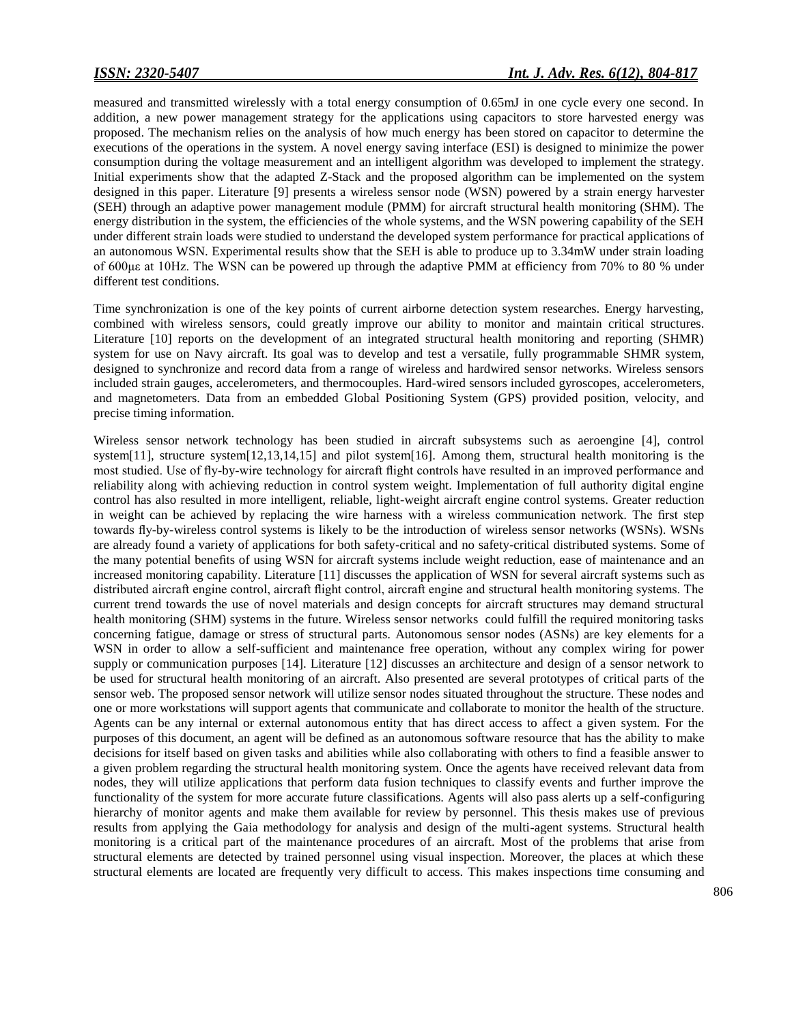measured and transmitted wirelessly with a total energy consumption of 0.65mJ in one cycle every one second. In addition, a new power management strategy for the applications using capacitors to store harvested energy was proposed. The mechanism relies on the analysis of how much energy has been stored on capacitor to determine the executions of the operations in the system. A novel energy saving interface (ESI) is designed to minimize the power consumption during the voltage measurement and an intelligent algorithm was developed to implement the strategy. Initial experiments show that the adapted Z-Stack and the proposed algorithm can be implemented on the system designed in this paper. Literature [9] presents a wireless sensor node (WSN) powered by a strain energy harvester (SEH) through an adaptive power management module (PMM) for aircraft structural health monitoring (SHM). The energy distribution in the system, the efficiencies of the whole systems, and the WSN powering capability of the SEH under different strain loads were studied to understand the developed system performance for practical applications of an autonomous WSN. Experimental results show that the SEH is able to produce up to 3.34mW under strain loading of 600με at 10Hz. The WSN can be powered up through the adaptive PMM at efficiency from 70% to 80 % under different test conditions.

Time synchronization is one of the key points of current airborne detection system researches. Energy harvesting, combined with wireless sensors, could greatly improve our ability to monitor and maintain critical structures. Literature [10] reports on the development of an integrated structural health monitoring and reporting (SHMR) system for use on Navy aircraft. Its goal was to develop and test a versatile, fully programmable SHMR system, designed to synchronize and record data from a range of wireless and hardwired sensor networks. Wireless sensors included strain gauges, accelerometers, and thermocouples. Hard-wired sensors included gyroscopes, accelerometers, and magnetometers. Data from an embedded Global Positioning System (GPS) provided position, velocity, and precise timing information.

Wireless sensor network technology has been studied in aircraft subsystems such as aeroengine [4], control system[11], structure system[12,13,14,15] and pilot system[16]. Among them, structural health monitoring is the most studied. Use of fly-by-wire technology for aircraft flight controls have resulted in an improved performance and reliability along with achieving reduction in control system weight. Implementation of full authority digital engine control has also resulted in more intelligent, reliable, light-weight aircraft engine control systems. Greater reduction in weight can be achieved by replacing the wire harness with a wireless communication network. The first step towards fly-by-wireless control systems is likely to be the introduction of wireless sensor networks (WSNs). WSNs are already found a variety of applications for both safety-critical and no safety-critical distributed systems. Some of the many potential benefits of using WSN for aircraft systems include weight reduction, ease of maintenance and an increased monitoring capability. Literature [11] discusses the application of WSN for several aircraft systems such as distributed aircraft engine control, aircraft flight control, aircraft engine and structural health monitoring systems. The current trend towards the use of novel materials and design concepts for aircraft structures may demand structural health monitoring (SHM) systems in the future. Wireless sensor networks could fulfill the required monitoring tasks concerning fatigue, damage or stress of structural parts. Autonomous sensor nodes (ASNs) are key elements for a WSN in order to allow a self-sufficient and maintenance free operation, without any complex wiring for power supply or communication purposes [14]. Literature [12] discusses an architecture and design of a sensor network to be used for structural health monitoring of an aircraft. Also presented are several prototypes of critical parts of the sensor web. The proposed sensor network will utilize sensor nodes situated throughout the structure. These nodes and one or more workstations will support agents that communicate and collaborate to monitor the health of the structure. Agents can be any internal or external autonomous entity that has direct access to affect a given system. For the purposes of this document, an agent will be defined as an autonomous software resource that has the ability to make decisions for itself based on given tasks and abilities while also collaborating with others to find a feasible answer to a given problem regarding the structural health monitoring system. Once the agents have received relevant data from nodes, they will utilize applications that perform data fusion techniques to classify events and further improve the functionality of the system for more accurate future classifications. Agents will also pass alerts up a self-configuring hierarchy of monitor agents and make them available for review by personnel. This thesis makes use of previous results from applying the Gaia methodology for analysis and design of the multi-agent systems. Structural health monitoring is a critical part of the maintenance procedures of an aircraft. Most of the problems that arise from structural elements are detected by trained personnel using visual inspection. Moreover, the places at which these structural elements are located are frequently very difficult to access. This makes inspections time consuming and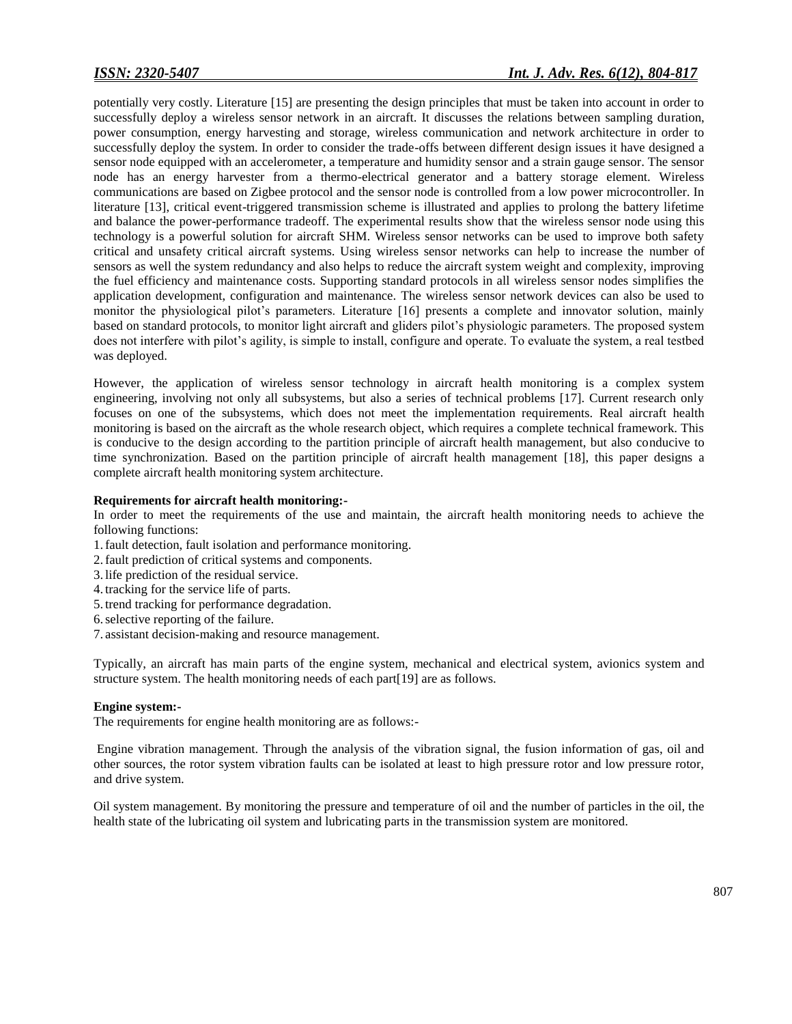potentially very costly. Literature [15] are presenting the design principles that must be taken into account in order to successfully deploy a wireless sensor network in an aircraft. It discusses the relations between sampling duration, power consumption, energy harvesting and storage, wireless communication and network architecture in order to successfully deploy the system. In order to consider the trade-offs between different design issues it have designed a sensor node equipped with an accelerometer, a temperature and humidity sensor and a strain gauge sensor. The sensor node has an energy harvester from a thermo-electrical generator and a battery storage element. Wireless communications are based on Zigbee protocol and the sensor node is controlled from a low power microcontroller. In literature [13], critical event-triggered transmission scheme is illustrated and applies to prolong the battery lifetime and balance the power-performance tradeoff. The experimental results show that the wireless sensor node using this technology is a powerful solution for aircraft SHM. Wireless sensor networks can be used to improve both safety critical and unsafety critical aircraft systems. Using wireless sensor networks can help to increase the number of sensors as well the system redundancy and also helps to reduce the aircraft system weight and complexity, improving the fuel efficiency and maintenance costs. Supporting standard protocols in all wireless sensor nodes simplifies the application development, configuration and maintenance. The wireless sensor network devices can also be used to monitor the physiological pilot's parameters. Literature [16] presents a complete and innovator solution, mainly based on standard protocols, to monitor light aircraft and gliders pilot's physiologic parameters. The proposed system does not interfere with pilot's agility, is simple to install, configure and operate. To evaluate the system, a real testbed was deployed.

However, the application of wireless sensor technology in aircraft health monitoring is a complex system engineering, involving not only all subsystems, but also a series of technical problems [17]. Current research only focuses on one of the subsystems, which does not meet the implementation requirements. Real aircraft health monitoring is based on the aircraft as the whole research object, which requires a complete technical framework. This is conducive to the design according to the partition principle of aircraft health management, but also conducive to time synchronization. Based on the partition principle of aircraft health management [18], this paper designs a complete aircraft health monitoring system architecture.

#### **Requirements for aircraft health monitoring:-**

In order to meet the requirements of the use and maintain, the aircraft health monitoring needs to achieve the following functions:

- 1.fault detection, fault isolation and performance monitoring.
- 2.fault prediction of critical systems and components.
- 3. life prediction of the residual service.
- 4. tracking for the service life of parts.
- 5. trend tracking for performance degradation.
- 6.selective reporting of the failure.
- 7. assistant decision-making and resource management.

Typically, an aircraft has main parts of the engine system, mechanical and electrical system, avionics system and structure system. The health monitoring needs of each part[19] are as follows.

#### **Engine system:-**

The requirements for engine health monitoring are as follows:-

Engine vibration management. Through the analysis of the vibration signal, the fusion information of gas, oil and other sources, the rotor system vibration faults can be isolated at least to high pressure rotor and low pressure rotor, and drive system.

Oil system management. By monitoring the pressure and temperature of oil and the number of particles in the oil, the health state of the lubricating oil system and lubricating parts in the transmission system are monitored.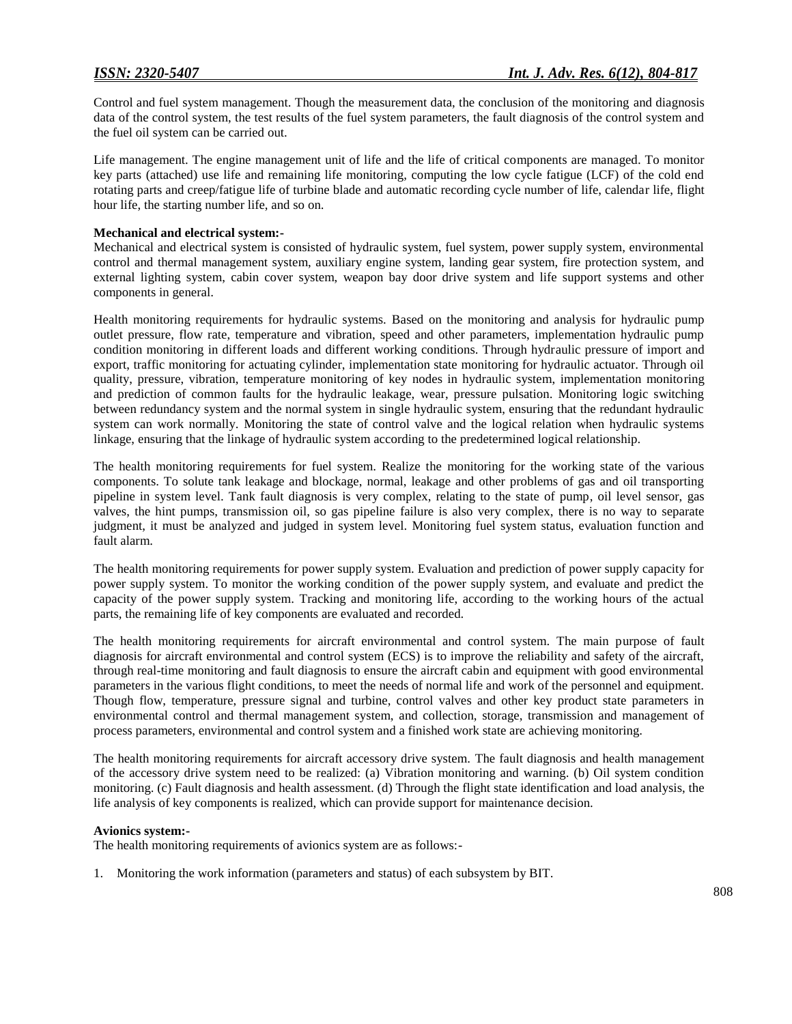Control and fuel system management. Though the measurement data, the conclusion of the monitoring and diagnosis data of the control system, the test results of the fuel system parameters, the fault diagnosis of the control system and the fuel oil system can be carried out.

Life management. The engine management unit of life and the life of critical components are managed. To monitor key parts (attached) use life and remaining life monitoring, computing the low cycle fatigue (LCF) of the cold end rotating parts and creep/fatigue life of turbine blade and automatic recording cycle number of life, calendar life, flight hour life, the starting number life, and so on.

#### **Mechanical and electrical system:-**

Mechanical and electrical system is consisted of hydraulic system, fuel system, power supply system, environmental control and thermal management system, auxiliary engine system, landing gear system, fire protection system, and external lighting system, cabin cover system, weapon bay door drive system and life support systems and other components in general.

Health monitoring requirements for hydraulic systems. Based on the monitoring and analysis for hydraulic pump outlet pressure, flow rate, temperature and vibration, speed and other parameters, implementation hydraulic pump condition monitoring in different loads and different working conditions. Through hydraulic pressure of import and export, traffic monitoring for actuating cylinder, implementation state monitoring for hydraulic actuator. Through oil quality, pressure, vibration, temperature monitoring of key nodes in hydraulic system, implementation monitoring and prediction of common faults for the hydraulic leakage, wear, pressure pulsation. Monitoring logic switching between redundancy system and the normal system in single hydraulic system, ensuring that the redundant hydraulic system can work normally. Monitoring the state of control valve and the logical relation when hydraulic systems linkage, ensuring that the linkage of hydraulic system according to the predetermined logical relationship.

The health monitoring requirements for fuel system. Realize the monitoring for the working state of the various components. To solute tank leakage and blockage, normal, leakage and other problems of gas and oil transporting pipeline in system level. Tank fault diagnosis is very complex, relating to the state of pump, oil level sensor, gas valves, the hint pumps, transmission oil, so gas pipeline failure is also very complex, there is no way to separate judgment, it must be analyzed and judged in system level. Monitoring fuel system status, evaluation function and fault alarm.

The health monitoring requirements for power supply system. Evaluation and prediction of power supply capacity for power supply system. To monitor the working condition of the power supply system, and evaluate and predict the capacity of the power supply system. Tracking and monitoring life, according to the working hours of the actual parts, the remaining life of key components are evaluated and recorded.

The health monitoring requirements for aircraft environmental and control system. The main purpose of fault diagnosis for aircraft environmental and control system (ECS) is to improve the reliability and safety of the aircraft, through real-time monitoring and fault diagnosis to ensure the aircraft cabin and equipment with good environmental parameters in the various flight conditions, to meet the needs of normal life and work of the personnel and equipment. Though flow, temperature, pressure signal and turbine, control valves and other key product state parameters in environmental control and thermal management system, and collection, storage, transmission and management of process parameters, environmental and control system and a finished work state are achieving monitoring.

The health monitoring requirements for aircraft accessory drive system. The fault diagnosis and health management of the accessory drive system need to be realized: (a) Vibration monitoring and warning. (b) Oil system condition monitoring. (c) Fault diagnosis and health assessment. (d) Through the flight state identification and load analysis, the life analysis of key components is realized, which can provide support for maintenance decision.

#### **Avionics system:-**

The health monitoring requirements of avionics system are as follows:-

1. Monitoring the work information (parameters and status) of each subsystem by BIT.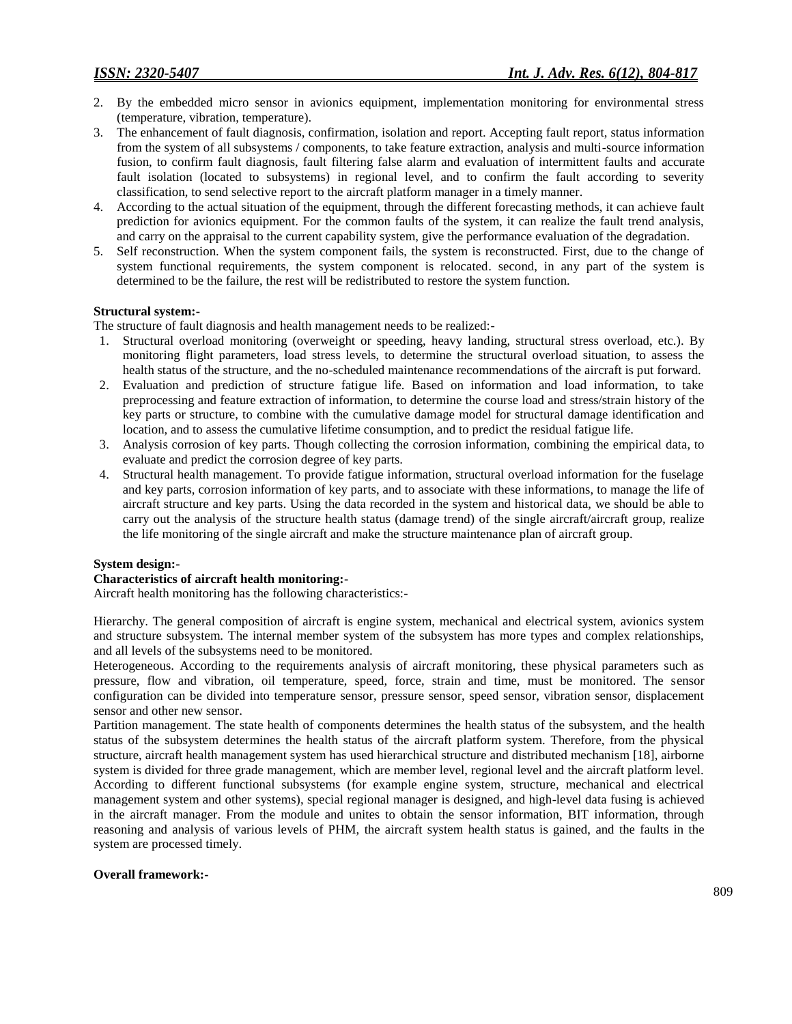- 2. By the embedded micro sensor in avionics equipment, implementation monitoring for environmental stress (temperature, vibration, temperature).
- 3. The enhancement of fault diagnosis, confirmation, isolation and report. Accepting fault report, status information from the system of all subsystems / components, to take feature extraction, analysis and multi-source information fusion, to confirm fault diagnosis, fault filtering false alarm and evaluation of intermittent faults and accurate fault isolation (located to subsystems) in regional level, and to confirm the fault according to severity classification, to send selective report to the aircraft platform manager in a timely manner.
- 4. According to the actual situation of the equipment, through the different forecasting methods, it can achieve fault prediction for avionics equipment. For the common faults of the system, it can realize the fault trend analysis, and carry on the appraisal to the current capability system, give the performance evaluation of the degradation.
- 5. Self reconstruction. When the system component fails, the system is reconstructed. First, due to the change of system functional requirements, the system component is relocated. second, in any part of the system is determined to be the failure, the rest will be redistributed to restore the system function.

#### **Structural system:-**

The structure of fault diagnosis and health management needs to be realized:-

- 1. Structural overload monitoring (overweight or speeding, heavy landing, structural stress overload, etc.). By monitoring flight parameters, load stress levels, to determine the structural overload situation, to assess the health status of the structure, and the no-scheduled maintenance recommendations of the aircraft is put forward.
- 2. Evaluation and prediction of structure fatigue life. Based on information and load information, to take preprocessing and feature extraction of information, to determine the course load and stress/strain history of the key parts or structure, to combine with the cumulative damage model for structural damage identification and location, and to assess the cumulative lifetime consumption, and to predict the residual fatigue life.
- 3. Analysis corrosion of key parts. Though collecting the corrosion information, combining the empirical data, to evaluate and predict the corrosion degree of key parts.
- 4. Structural health management. To provide fatigue information, structural overload information for the fuselage and key parts, corrosion information of key parts, and to associate with these informations, to manage the life of aircraft structure and key parts. Using the data recorded in the system and historical data, we should be able to carry out the analysis of the structure health status (damage trend) of the single aircraft/aircraft group, realize the life monitoring of the single aircraft and make the structure maintenance plan of aircraft group.

#### **System design:-**

#### **Characteristics of aircraft health monitoring:-**

Aircraft health monitoring has the following characteristics:-

Hierarchy. The general composition of aircraft is engine system, mechanical and electrical system, avionics system and structure subsystem. The internal member system of the subsystem has more types and complex relationships, and all levels of the subsystems need to be monitored.

Heterogeneous. According to the requirements analysis of aircraft monitoring, these physical parameters such as pressure, flow and vibration, oil temperature, speed, force, strain and time, must be monitored. The sensor configuration can be divided into temperature sensor, pressure sensor, speed sensor, vibration sensor, displacement sensor and other new sensor.

Partition management. The state health of components determines the health status of the subsystem, and the health status of the subsystem determines the health status of the aircraft platform system. Therefore, from the physical structure, aircraft health management system has used hierarchical structure and distributed mechanism [18], airborne system is divided for three grade management, which are member level, regional level and the aircraft platform level. According to different functional subsystems (for example engine system, structure, mechanical and electrical management system and other systems), special regional manager is designed, and high-level data fusing is achieved in the aircraft manager. From the module and unites to obtain the sensor information, BIT information, through reasoning and analysis of various levels of PHM, the aircraft system health status is gained, and the faults in the system are processed timely.

#### **Overall framework:-**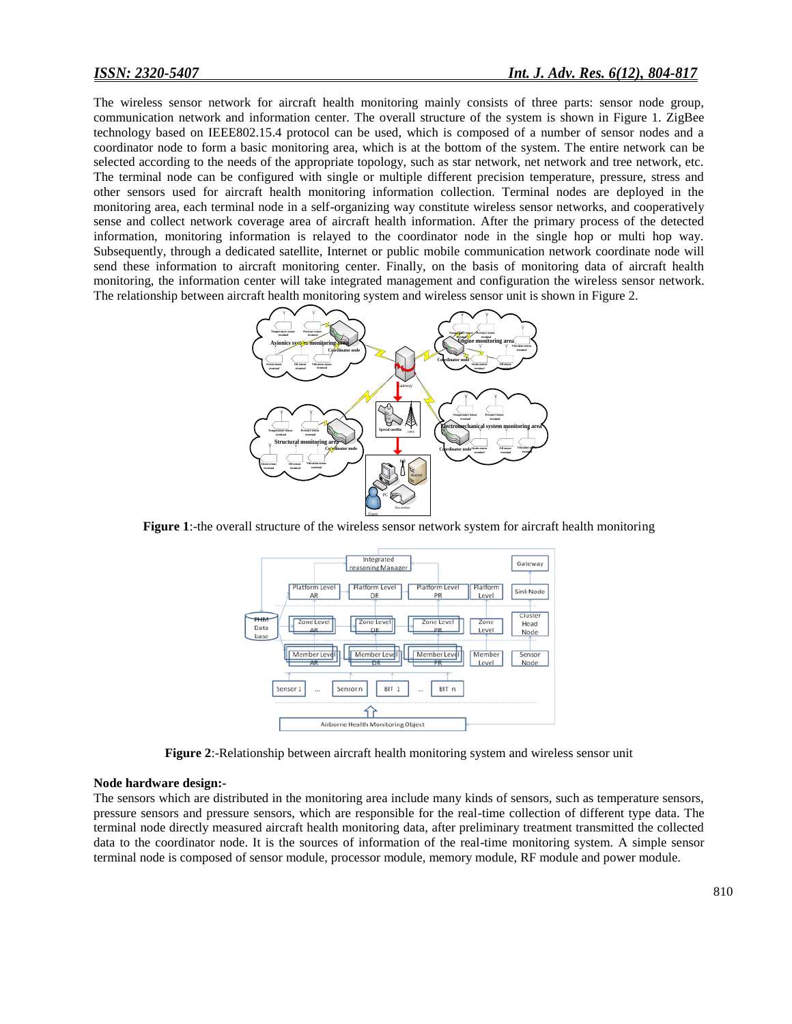The wireless sensor network for aircraft health monitoring mainly consists of three parts: sensor node group, communication network and information center. The overall structure of the system is shown in Figure 1. ZigBee technology based on IEEE802.15.4 protocol can be used, which is composed of a number of sensor nodes and a coordinator node to form a basic monitoring area, which is at the bottom of the system. The entire network can be selected according to the needs of the appropriate topology, such as star network, net network and tree network, etc. The terminal node can be configured with single or multiple different precision temperature, pressure, stress and other sensors used for aircraft health monitoring information collection. Terminal nodes are deployed in the monitoring area, each terminal node in a self-organizing way constitute wireless sensor networks, and cooperatively sense and collect network coverage area of aircraft health information. After the primary process of the detected information, monitoring information is relayed to the coordinator node in the single hop or multi hop way. Subsequently, through a dedicated satellite, Internet or public mobile communication network coordinate node will send these information to aircraft monitoring center. Finally, on the basis of monitoring data of aircraft health monitoring, the information center will take integrated management and configuration the wireless sensor network. The relationship between aircraft health monitoring system and wireless sensor unit is shown in Figure 2.



**Figure 1:-the overall structure of the wireless sensor network system for aircraft health monitoring** 



**Figure 2**:-Relationship between aircraft health monitoring system and wireless sensor unit

#### **Node hardware design:-**

The sensors which are distributed in the monitoring area include many kinds of sensors, such as temperature sensors, pressure sensors and pressure sensors, which are responsible for the real-time collection of different type data. The terminal node directly measured aircraft health monitoring data, after preliminary treatment transmitted the collected data to the coordinator node. It is the sources of information of the real-time monitoring system. A simple sensor terminal node is composed of sensor module, processor module, memory module, RF module and power module.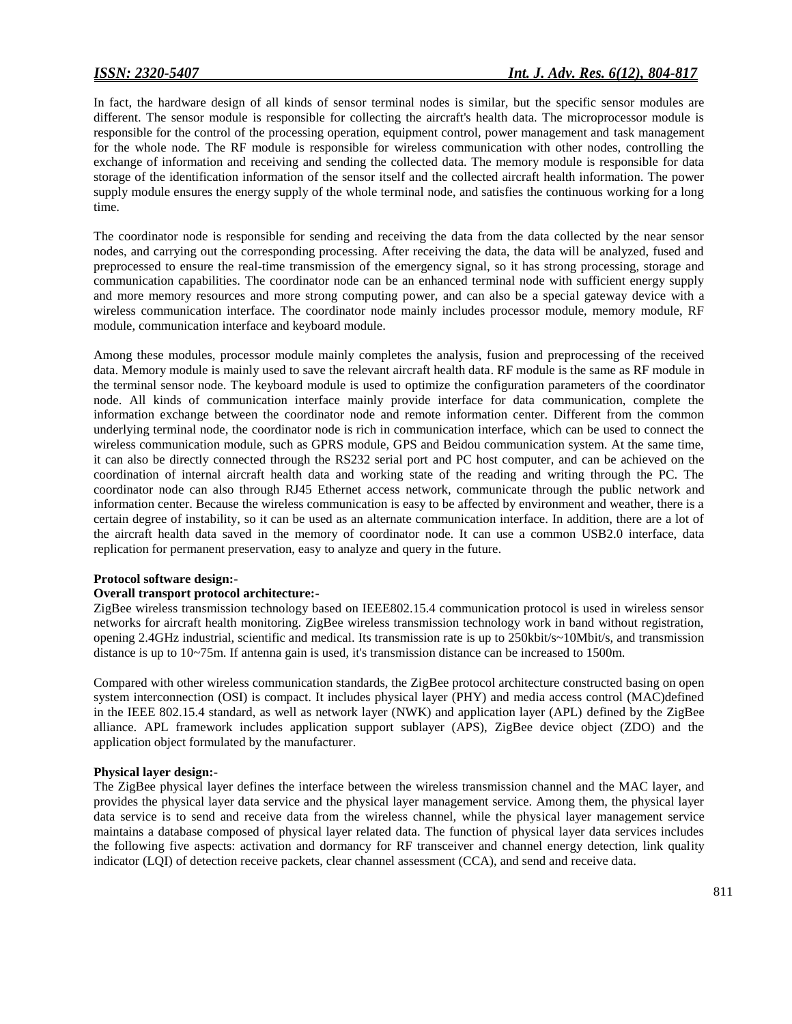In fact, the hardware design of all kinds of sensor terminal nodes is similar, but the specific sensor modules are different. The sensor module is responsible for collecting the aircraft's health data. The microprocessor module is responsible for the control of the processing operation, equipment control, power management and task management for the whole node. The RF module is responsible for wireless communication with other nodes, controlling the exchange of information and receiving and sending the collected data. The memory module is responsible for data storage of the identification information of the sensor itself and the collected aircraft health information. The power supply module ensures the energy supply of the whole terminal node, and satisfies the continuous working for a long time.

The coordinator node is responsible for sending and receiving the data from the data collected by the near sensor nodes, and carrying out the corresponding processing. After receiving the data, the data will be analyzed, fused and preprocessed to ensure the real-time transmission of the emergency signal, so it has strong processing, storage and communication capabilities. The coordinator node can be an enhanced terminal node with sufficient energy supply and more memory resources and more strong computing power, and can also be a special gateway device with a wireless communication interface. The coordinator node mainly includes processor module, memory module, RF module, communication interface and keyboard module.

Among these modules, processor module mainly completes the analysis, fusion and preprocessing of the received data. Memory module is mainly used to save the relevant aircraft health data. RF module is the same as RF module in the terminal sensor node. The keyboard module is used to optimize the configuration parameters of the coordinator node. All kinds of communication interface mainly provide interface for data communication, complete the information exchange between the coordinator node and remote information center. Different from the common underlying terminal node, the coordinator node is rich in communication interface, which can be used to connect the wireless communication module, such as GPRS module, GPS and Beidou communication system. At the same time, it can also be directly connected through the RS232 serial port and PC host computer, and can be achieved on the coordination of internal aircraft health data and working state of the reading and writing through the PC. The coordinator node can also through RJ45 Ethernet access network, communicate through the public network and information center. Because the wireless communication is easy to be affected by environment and weather, there is a certain degree of instability, so it can be used as an alternate communication interface. In addition, there are a lot of the aircraft health data saved in the memory of coordinator node. It can use a common USB2.0 interface, data replication for permanent preservation, easy to analyze and query in the future.

#### **Protocol software design:-**

#### **Overall transport protocol architecture:-**

ZigBee wireless transmission technology based on IEEE802.15.4 communication protocol is used in wireless sensor networks for aircraft health monitoring. ZigBee wireless transmission technology work in band without registration, opening 2.4GHz industrial, scientific and medical. Its transmission rate is up to 250kbit/s~10Mbit/s, and transmission distance is up to 10~75m. If antenna gain is used, it's transmission distance can be increased to 1500m.

Compared with other wireless communication standards, the ZigBee protocol architecture constructed basing on open system interconnection (OSI) is compact. It includes physical layer (PHY) and media access control (MAC)defined in the IEEE 802.15.4 standard, as well as network layer (NWK) and application layer (APL) defined by the ZigBee alliance. APL framework includes application support sublayer (APS), ZigBee device object (ZDO) and the application object formulated by the manufacturer.

#### **Physical layer design:-**

The ZigBee physical layer defines the interface between the wireless transmission channel and the MAC layer, and provides the physical layer data service and the physical layer management service. Among them, the physical layer data service is to send and receive data from the wireless channel, while the physical layer management service maintains a database composed of physical layer related data. The function of physical layer data services includes the following five aspects: activation and dormancy for RF transceiver and channel energy detection, link quality indicator (LQI) of detection receive packets, clear channel assessment (CCA), and send and receive data.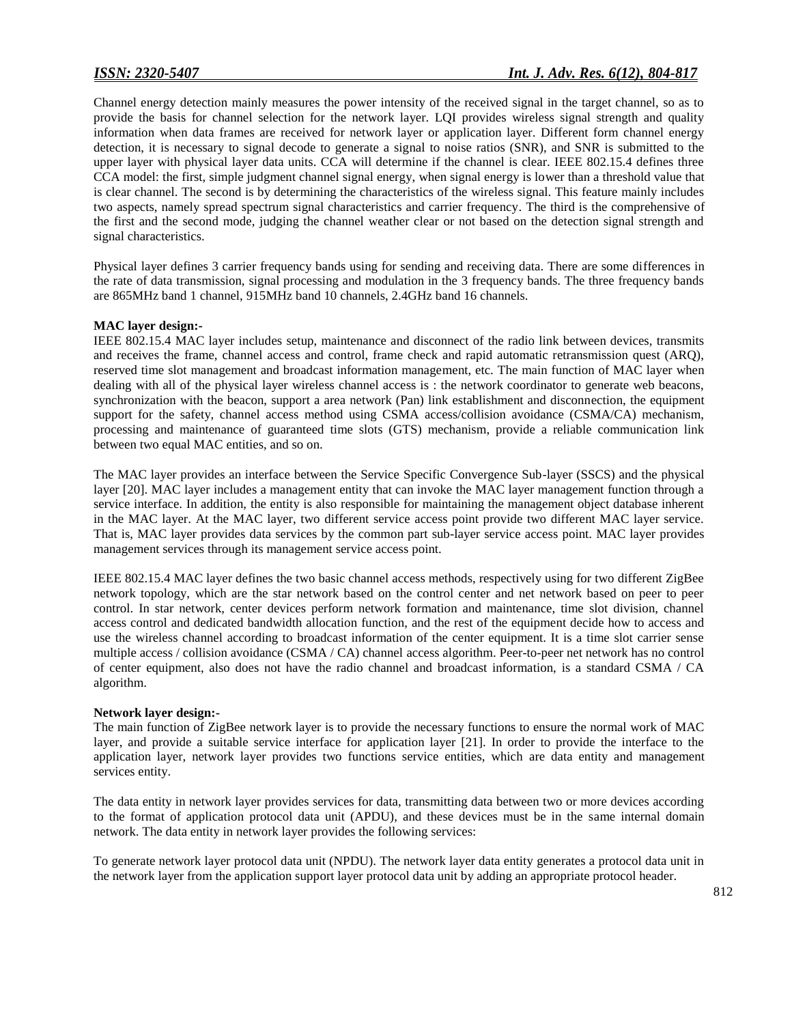Channel energy detection mainly measures the power intensity of the received signal in the target channel, so as to provide the basis for channel selection for the network layer. LQI provides wireless signal strength and quality information when data frames are received for network layer or application layer. Different form channel energy detection, it is necessary to signal decode to generate a signal to noise ratios (SNR), and SNR is submitted to the upper layer with physical layer data units. CCA will determine if the channel is clear. IEEE 802.15.4 defines three CCA model: the first, simple judgment channel signal energy, when signal energy is lower than a threshold value that is clear channel. The second is by determining the characteristics of the wireless signal. This feature mainly includes two aspects, namely spread spectrum signal characteristics and carrier frequency. The third is the comprehensive of the first and the second mode, judging the channel weather clear or not based on the detection signal strength and signal characteristics.

Physical layer defines 3 carrier frequency bands using for sending and receiving data. There are some differences in the rate of data transmission, signal processing and modulation in the 3 frequency bands. The three frequency bands are 865MHz band 1 channel, 915MHz band 10 channels, 2.4GHz band 16 channels.

#### **MAC layer design:-**

IEEE 802.15.4 MAC layer includes setup, maintenance and disconnect of the radio link between devices, transmits and receives the frame, channel access and control, frame check and rapid automatic retransmission quest (ARQ), reserved time slot management and broadcast information management, etc. The main function of MAC layer when dealing with all of the physical layer wireless channel access is : the network coordinator to generate web beacons, synchronization with the beacon, support a area network (Pan) link establishment and disconnection, the equipment support for the safety, channel access method using CSMA access/collision avoidance (CSMA/CA) mechanism, processing and maintenance of guaranteed time slots (GTS) mechanism, provide a reliable communication link between two equal MAC entities, and so on.

The MAC layer provides an interface between the Service Specific Convergence Sub-layer (SSCS) and the physical layer [20]. MAC layer includes a management entity that can invoke the MAC layer management function through a service interface. In addition, the entity is also responsible for maintaining the management object database inherent in the MAC layer. At the MAC layer, two different service access point provide two different MAC layer service. That is, MAC layer provides data services by the common part sub-layer service access point. MAC layer provides management services through its management service access point.

IEEE 802.15.4 MAC layer defines the two basic channel access methods, respectively using for two different ZigBee network topology, which are the star network based on the control center and net network based on peer to peer control. In star network, center devices perform network formation and maintenance, time slot division, channel access control and dedicated bandwidth allocation function, and the rest of the equipment decide how to access and use the wireless channel according to broadcast information of the center equipment. It is a time slot carrier sense multiple access / collision avoidance (CSMA / CA) channel access algorithm. Peer-to-peer net network has no control of center equipment, also does not have the radio channel and broadcast information, is a standard CSMA / CA algorithm.

#### **Network layer design:-**

The main function of ZigBee network layer is to provide the necessary functions to ensure the normal work of MAC layer, and provide a suitable service interface for application layer [21]. In order to provide the interface to the application layer, network layer provides two functions service entities, which are data entity and management services entity.

The data entity in network layer provides services for data, transmitting data between two or more devices according to the format of application protocol data unit (APDU), and these devices must be in the same internal domain network. The data entity in network layer provides the following services:

To generate network layer protocol data unit (NPDU). The network layer data entity generates a protocol data unit in the network layer from the application support layer protocol data unit by adding an appropriate protocol header.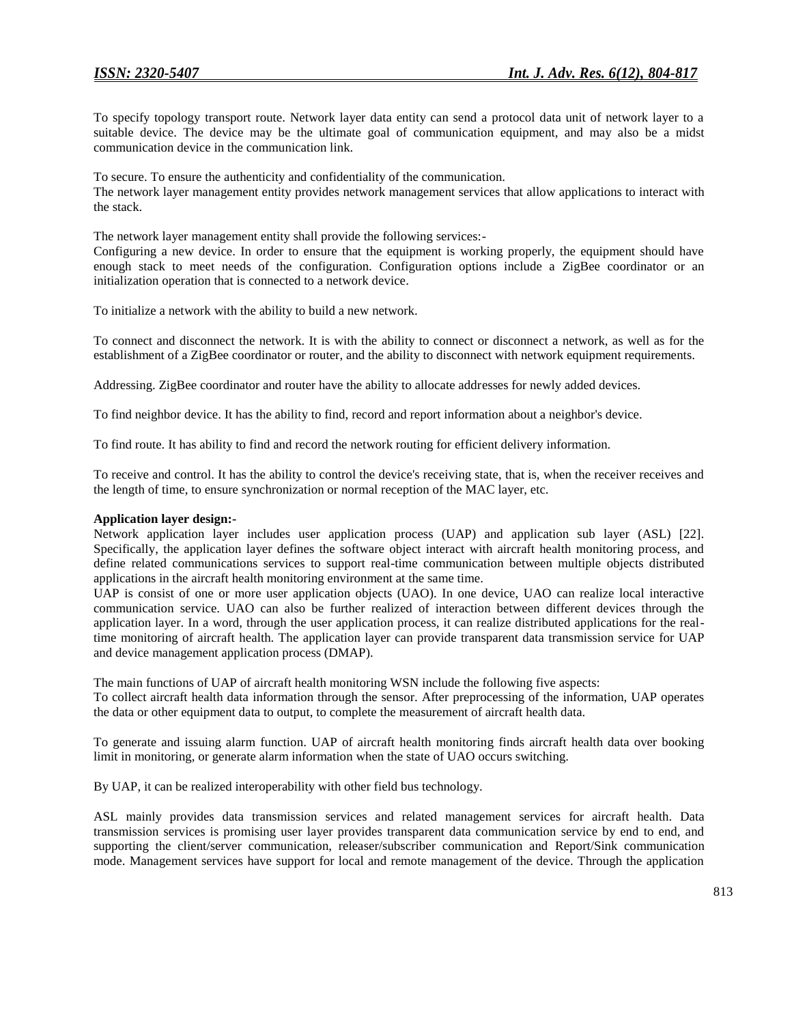To specify topology transport route. Network layer data entity can send a protocol data unit of network layer to a suitable device. The device may be the ultimate goal of communication equipment, and may also be a midst communication device in the communication link.

To secure. To ensure the authenticity and confidentiality of the communication. The network layer management entity provides network management services that allow applications to interact with the stack.

The network layer management entity shall provide the following services:-

Configuring a new device. In order to ensure that the equipment is working properly, the equipment should have enough stack to meet needs of the configuration. Configuration options include a ZigBee coordinator or an initialization operation that is connected to a network device.

To initialize a network with the ability to build a new network.

To connect and disconnect the network. It is with the ability to connect or disconnect a network, as well as for the establishment of a ZigBee coordinator or router, and the ability to disconnect with network equipment requirements.

Addressing. ZigBee coordinator and router have the ability to allocate addresses for newly added devices.

To find neighbor device. It has the ability to find, record and report information about a neighbor's device.

To find route. It has ability to find and record the network routing for efficient delivery information.

To receive and control. It has the ability to control the device's receiving state, that is, when the receiver receives and the length of time, to ensure synchronization or normal reception of the MAC layer, etc.

### **Application layer design:-**

Network application layer includes user application process (UAP) and application sub layer (ASL) [22]. Specifically, the application layer defines the software object interact with aircraft health monitoring process, and define related communications services to support real-time communication between multiple objects distributed applications in the aircraft health monitoring environment at the same time.

UAP is consist of one or more user application objects (UAO). In one device, UAO can realize local interactive communication service. UAO can also be further realized of interaction between different devices through the application layer. In a word, through the user application process, it can realize distributed applications for the realtime monitoring of aircraft health. The application layer can provide transparent data transmission service for UAP and device management application process (DMAP).

The main functions of UAP of aircraft health monitoring WSN include the following five aspects:

To collect aircraft health data information through the sensor. After preprocessing of the information, UAP operates the data or other equipment data to output, to complete the measurement of aircraft health data.

To generate and issuing alarm function. UAP of aircraft health monitoring finds aircraft health data over booking limit in monitoring, or generate alarm information when the state of UAO occurs switching.

By UAP, it can be realized interoperability with other field bus technology.

ASL mainly provides data transmission services and related management services for aircraft health. Data transmission services is promising user layer provides transparent data communication service by end to end, and supporting the client/server communication, releaser/subscriber communication and Report/Sink communication mode. Management services have support for local and remote management of the device. Through the application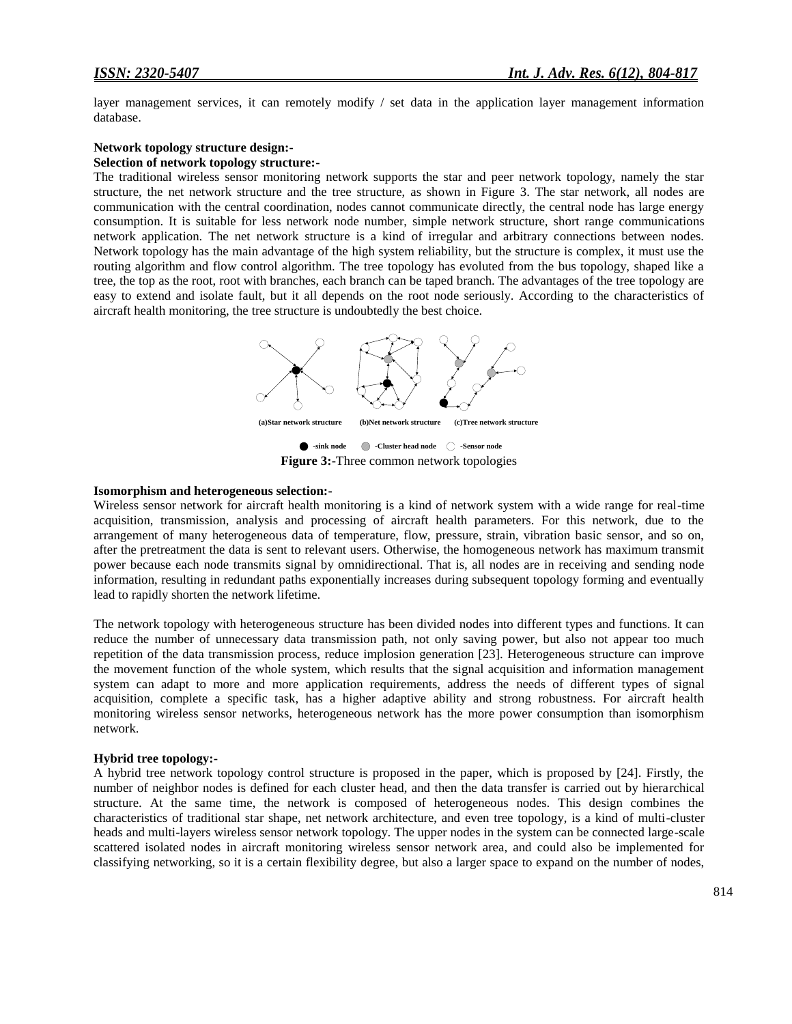layer management services, it can remotely modify / set data in the application layer management information database.

# **Network topology structure design:-**

# **Selection of network topology structure:-**

The traditional wireless sensor monitoring network supports the star and peer network topology, namely the star structure, the net network structure and the tree structure, as shown in Figure 3. The star network, all nodes are communication with the central coordination, nodes cannot communicate directly, the central node has large energy consumption. It is suitable for less network node number, simple network structure, short range communications network application. The net network structure is a kind of irregular and arbitrary connections between nodes. Network topology has the main advantage of the high system reliability, but the structure is complex, it must use the routing algorithm and flow control algorithm. The tree topology has evoluted from the bus topology, shaped like a tree, the top as the root, root with branches, each branch can be taped branch. The advantages of the tree topology are easy to extend and isolate fault, but it all depends on the root node seriously. According to the characteristics of aircraft health monitoring, the tree structure is undoubtedly the best choice.



**-sink node -Cluster head node -Sensor node Figure 3:-**Three common network topologies

#### **Isomorphism and heterogeneous selection:-**

Wireless sensor network for aircraft health monitoring is a kind of network system with a wide range for real-time acquisition, transmission, analysis and processing of aircraft health parameters. For this network, due to the arrangement of many heterogeneous data of temperature, flow, pressure, strain, vibration basic sensor, and so on, after the pretreatment the data is sent to relevant users. Otherwise, the homogeneous network has maximum transmit power because each node transmits signal by omnidirectional. That is, all nodes are in receiving and sending node information, resulting in redundant paths exponentially increases during subsequent topology forming and eventually lead to rapidly shorten the network lifetime.

The network topology with heterogeneous structure has been divided nodes into different types and functions. It can reduce the number of unnecessary data transmission path, not only saving power, but also not appear too much repetition of the data transmission process, reduce implosion generation [23]. Heterogeneous structure can improve the movement function of the whole system, which results that the signal acquisition and information management system can adapt to more and more application requirements, address the needs of different types of signal acquisition, complete a specific task, has a higher adaptive ability and strong robustness. For aircraft health monitoring wireless sensor networks, heterogeneous network has the more power consumption than isomorphism network.

#### **Hybrid tree topology:-**

A hybrid tree network topology control structure is proposed in the paper, which is proposed by [24]. Firstly, the number of neighbor nodes is defined for each cluster head, and then the data transfer is carried out by hierarchical structure. At the same time, the network is composed of heterogeneous nodes. This design combines the characteristics of traditional star shape, net network architecture, and even tree topology, is a kind of multi-cluster heads and multi-layers wireless sensor network topology. The upper nodes in the system can be connected large-scale scattered isolated nodes in aircraft monitoring wireless sensor network area, and could also be implemented for classifying networking, so it is a certain flexibility degree, but also a larger space to expand on the number of nodes,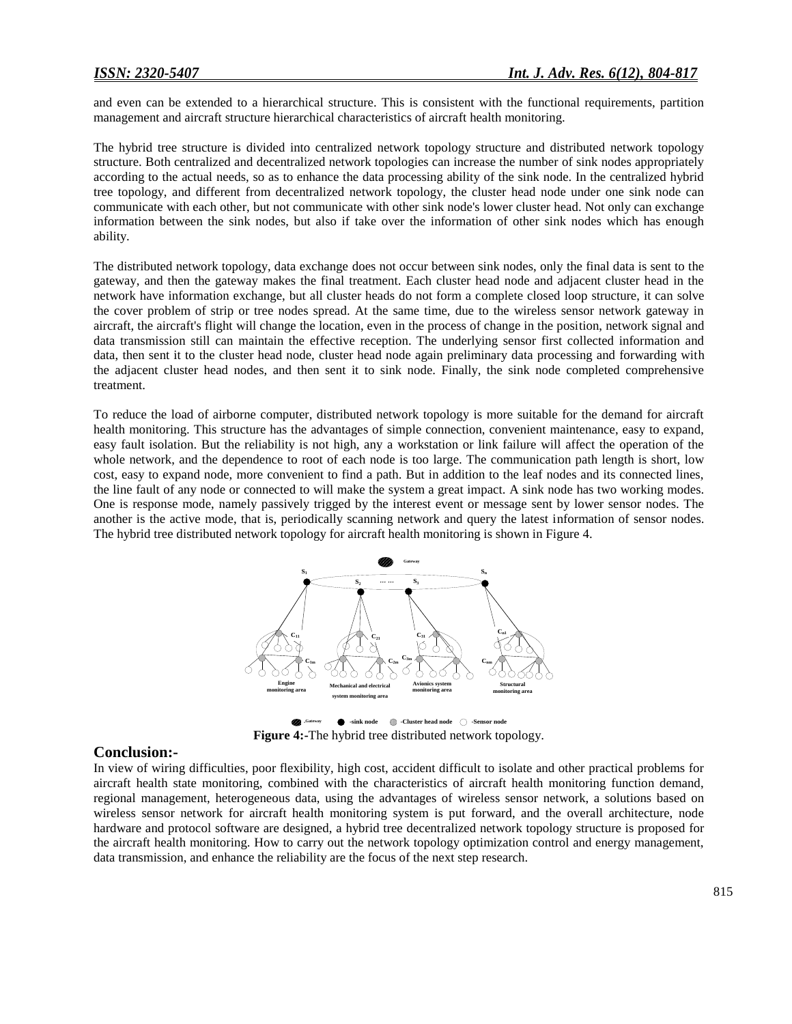and even can be extended to a hierarchical structure. This is consistent with the functional requirements, partition management and aircraft structure hierarchical characteristics of aircraft health monitoring.

The hybrid tree structure is divided into centralized network topology structure and distributed network topology structure. Both centralized and decentralized network topologies can increase the number of sink nodes appropriately according to the actual needs, so as to enhance the data processing ability of the sink node. In the centralized hybrid tree topology, and different from decentralized network topology, the cluster head node under one sink node can communicate with each other, but not communicate with other sink node's lower cluster head. Not only can exchange information between the sink nodes, but also if take over the information of other sink nodes which has enough ability.

The distributed network topology, data exchange does not occur between sink nodes, only the final data is sent to the gateway, and then the gateway makes the final treatment. Each cluster head node and adjacent cluster head in the network have information exchange, but all cluster heads do not form a complete closed loop structure, it can solve the cover problem of strip or tree nodes spread. At the same time, due to the wireless sensor network gateway in aircraft, the aircraft's flight will change the location, even in the process of change in the position, network signal and data transmission still can maintain the effective reception. The underlying sensor first collected information and data, then sent it to the cluster head node, cluster head node again preliminary data processing and forwarding with the adjacent cluster head nodes, and then sent it to sink node. Finally, the sink node completed comprehensive treatment.

To reduce the load of airborne computer, distributed network topology is more suitable for the demand for aircraft health monitoring. This structure has the advantages of simple connection, convenient maintenance, easy to expand, easy fault isolation. But the reliability is not high, any a workstation or link failure will affect the operation of the whole network, and the dependence to root of each node is too large. The communication path length is short, low cost, easy to expand node, more convenient to find a path. But in addition to the leaf nodes and its connected lines, the line fault of any node or connected to will make the system a great impact. A sink node has two working modes. One is response mode, namely passively trigged by the interest event or message sent by lower sensor nodes. The another is the active mode, that is, periodically scanning network and query the latest information of sensor nodes. The hybrid tree distributed network topology for aircraft health monitoring is shown in Figure 4.



**-sink node -Cluster head node -Sensor node -Gateway Figure 4:-**The hybrid tree distributed network topology.

## **Conclusion:-**

In view of wiring difficulties, poor flexibility, high cost, accident difficult to isolate and other practical problems for aircraft health state monitoring, combined with the characteristics of aircraft health monitoring function demand, regional management, heterogeneous data, using the advantages of wireless sensor network, a solutions based on wireless sensor network for aircraft health monitoring system is put forward, and the overall architecture, node hardware and protocol software are designed, a hybrid tree decentralized network topology structure is proposed for the aircraft health monitoring. How to carry out the network topology optimization control and energy management, data transmission, and enhance the reliability are the focus of the next step research.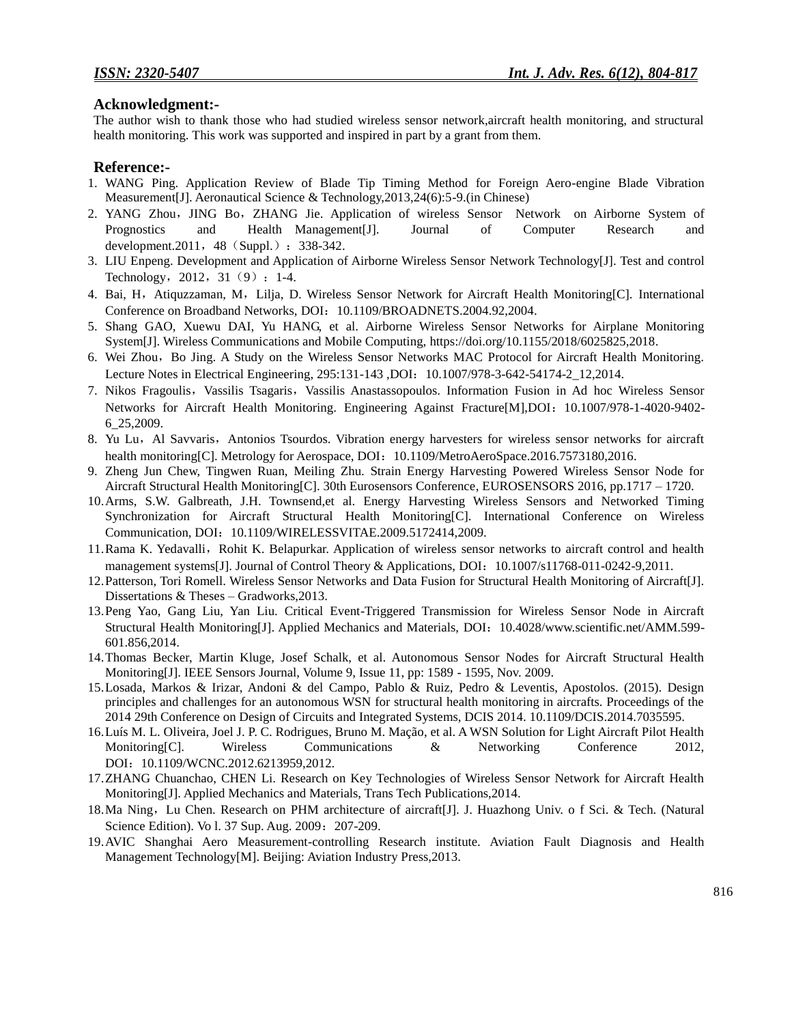# **Acknowledgment:-**

The author wish to thank those who had studied wireless sensor network,aircraft health monitoring, and structural health monitoring. This work was supported and inspired in part by a grant from them.

# **Reference:-**

- 1. WANG Ping. Application Review of Blade Tip Timing Method for Foreign Aero-engine Blade Vibration Measurement[J]. Aeronautical Science & Technology,2013,24(6):5-9.(in Chinese)
- 2. YANG Zhou, JING Bo, ZHANG Jie. Application of wireless Sensor Network on Airborne System of Prognostics and Health Management[J]. Journal of Computer Research and development.2011, 48 (Suppl.): 338-342.
- 3. LIU Enpeng. Development and Application of Airborne Wireless Sensor Network Technology[J]. Test and control Technology, 2012, 31 (9) : 1-4.
- 4. Bai, H, Atiquzzaman, M, Lilja, D. Wireless Sensor Network for Aircraft Health Monitoring[C]. International Conference on Broadband Networks, DOI: 10.1109/BROADNETS.2004.92,2004.
- 5. Shang GAO, Xuewu DAI, Yu HANG, et al. Airborne Wireless Sensor Networks for Airplane Monitoring System[J]. Wireless Communications and Mobile Computing, [https://doi.org/10.1155/2018/6025825,2018.](https://doi.org/10.1155/2018/6025825,2018)
- 6. Wei Zhou,Bo Jing. A Study on the Wireless Sensor Networks MAC Protocol for Aircraft Health Monitoring. Lecture Notes in Electrical Engineering, 295:131-143 ,DOI:10.1007/978-3-642-54174-2\_12,2014.
- 7. Nikos Fragoulis, Vassilis Tsagaris, Vassilis Anastassopoulos. Information Fusion in Ad hoc Wireless Sensor Networks for Aircraft Health Monitoring. Engineering Against Fracture[M],DOI:10.1007/978-1-4020-9402- 6\_25,2009.
- 8. Yu Lu, Al Savvaris, Antonios Tsourdos. Vibration energy harvesters for wireless sensor networks for aircraft health monitoring[C]. Metrology for Aerospace, DOI: 10.1109/MetroAeroSpace.2016.7573180,2016.
- 9. Zheng Jun Chew, Tingwen Ruan, Meiling Zhu. Strain Energy Harvesting Powered Wireless Sensor Node for Aircraft Structural Health Monitoring[C]. 30th Eurosensors Conference, EUROSENSORS 2016, pp.1717 – 1720.
- 10.Arms, S.W. Galbreath, J.H. Townsend,et al. Energy Harvesting Wireless Sensors and Networked Timing Synchronization for Aircraft Structural Health Monitoring[C]. International Conference on Wireless Communication, DOI:10.1109/WIRELESSVITAE.2009.5172414,2009.
- 11. Rama K. Yedavalli, Rohit K. Belapurkar. Application of wireless sensor networks to aircraft control and health management systems[J]. Journal of Control Theory & Applications, DOI: 10.1007/s11768-011-0242-9,2011.
- 12.Patterson, Tori Romell. Wireless Sensor Networks and Data Fusion for Structural Health Monitoring of Aircraft[J]. Dissertations & Theses – Gradworks,2013.
- 13.Peng Yao, Gang Liu, Yan Liu. Critical Event-Triggered Transmission for Wireless Sensor Node in Aircraft Structural Health Monitoring[J]. Applied Mechanics and Materials, DOI: 10.4028/www.scientific.net/AMM.599-601.856,2014.
- 14.Thomas Becker, Martin Kluge, Josef Schalk, et al. Autonomous Sensor Nodes for Aircraft Structural Health Monitoring[J]. IEEE Sensors Journal, Volume 9, Issue 11, pp: 1589 - 1595, Nov. 2009.
- 15.Losada, Markos & Irizar, Andoni & del Campo, Pablo & Ruiz, Pedro & Leventis, Apostolos. (2015). Design principles and challenges for an autonomous WSN for structural health monitoring in aircrafts. Proceedings of the 2014 29th Conference on Design of Circuits and Integrated Systems, DCIS 2014. 10.1109/DCIS.2014.7035595.
- 16.Luís M. L. Oliveira, Joel J. P. C. Rodrigues, Bruno M. Mação, et al. A WSN Solution for Light Aircraft Pilot Health Monitoring[C]. Wireless Communications & Networking Conference 2012, DOI: 10.1109/WCNC.2012.6213959,2012.
- 17.ZHANG Chuanchao, CHEN Li. Research on Key Technologies of Wireless Sensor Network for Aircraft Health Monitoring[J]. Applied Mechanics and Materials, Trans Tech Publications,2014.
- 18.Ma Ning,Lu Chen. Research on PHM architecture of aircraft[J]. J. Huazhong Univ. o f Sci. & Tech. (Natural Science Edition). Vo l. 37 Sup. Aug. 2009: 207-209.
- 19.AVIC Shanghai Aero Measurement-controlling Research institute. Aviation Fault Diagnosis and Health Management Technology[M]. Beijing: Aviation Industry Press,2013.